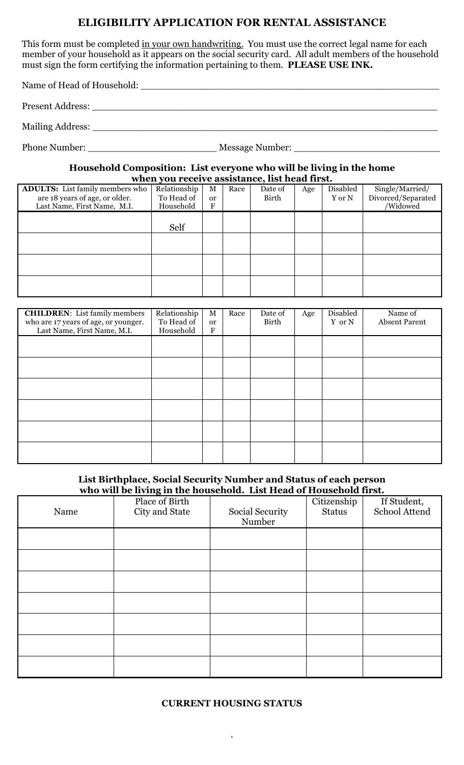# **ELIGIBILITY APPLICATION FOR RENTAL ASSISTANCE**

This form must be completed in your own handwriting. You must use the correct legal name for each member of your household as it appears on the social security card. All adult members of the household must sign the form certifying the information pertaining to them. **PLEASE USE INK.**

Name of Head of Household: \_\_\_\_\_\_\_\_\_\_\_\_\_\_\_\_\_\_\_\_\_\_\_\_\_\_\_\_\_\_\_\_\_\_\_\_\_\_\_\_\_\_\_\_\_\_\_\_\_\_\_

Present Address: \_\_\_\_\_\_\_\_\_\_\_\_\_\_\_\_\_\_\_\_\_\_\_\_\_\_\_\_\_\_\_\_\_\_\_\_\_\_\_\_\_\_\_\_\_\_\_\_\_\_\_\_\_\_\_\_\_\_\_

Mailing Address:

Phone Number: \_\_\_\_\_\_\_\_\_\_\_\_\_\_\_\_\_\_\_\_\_\_ Message Number: \_\_\_\_\_\_\_\_\_\_\_\_\_\_\_\_\_\_\_\_\_\_\_\_\_

**Household Composition: List everyone who will be living in the home when you receive assistance, list head first.**

| <b>ADULTS:</b> List family members who<br>are 18 years of age, or older. | Relationship<br>To Head of | M<br><sub>or</sub> | Race | Date of<br>Birth | Age | Disabled<br>Y or N | Single/Married/<br>Divorced/Separated |
|--------------------------------------------------------------------------|----------------------------|--------------------|------|------------------|-----|--------------------|---------------------------------------|
| Last Name, First Name, M.I.                                              | Household                  | F                  |      |                  |     |                    | /Widowed                              |
|                                                                          |                            |                    |      |                  |     |                    |                                       |
|                                                                          | Self                       |                    |      |                  |     |                    |                                       |
|                                                                          |                            |                    |      |                  |     |                    |                                       |
|                                                                          |                            |                    |      |                  |     |                    |                                       |
|                                                                          |                            |                    |      |                  |     |                    |                                       |
|                                                                          |                            |                    |      |                  |     |                    |                                       |
|                                                                          |                            |                    |      |                  |     |                    |                                       |
|                                                                          |                            |                    |      |                  |     |                    |                                       |

| <b>CHILDREN:</b> List family members<br>who are 17 years of age, or younger.<br>Last Name, First Name, M.I. | Relationship<br>To Head of<br>Household | $\mathbf M$<br>or<br>F | Race | Date of<br>Birth | Age | Disabled<br>Y or N | Name of<br><b>Absent Parent</b> |
|-------------------------------------------------------------------------------------------------------------|-----------------------------------------|------------------------|------|------------------|-----|--------------------|---------------------------------|
|                                                                                                             |                                         |                        |      |                  |     |                    |                                 |
|                                                                                                             |                                         |                        |      |                  |     |                    |                                 |
|                                                                                                             |                                         |                        |      |                  |     |                    |                                 |
|                                                                                                             |                                         |                        |      |                  |     |                    |                                 |
|                                                                                                             |                                         |                        |      |                  |     |                    |                                 |
|                                                                                                             |                                         |                        |      |                  |     |                    |                                 |

#### **List Birthplace, Social Security Number and Status of each person who will be living in the household. List Head of Household first.**

|      | who was be noing in the howsehold. Each near of howsehold moto |                 |               |               |
|------|----------------------------------------------------------------|-----------------|---------------|---------------|
|      | Place of Birth                                                 |                 | Citizenship   | If Student,   |
| Name | City and State                                                 | Social Security | <b>Status</b> | School Attend |
|      |                                                                | Number          |               |               |
|      |                                                                |                 |               |               |
|      |                                                                |                 |               |               |
|      |                                                                |                 |               |               |
|      |                                                                |                 |               |               |
|      |                                                                |                 |               |               |
|      |                                                                |                 |               |               |
|      |                                                                |                 |               |               |
|      |                                                                |                 |               |               |
|      |                                                                |                 |               |               |
|      |                                                                |                 |               |               |
|      |                                                                |                 |               |               |
|      |                                                                |                 |               |               |
|      |                                                                |                 |               |               |
|      |                                                                |                 |               |               |

### **CURRENT HOUSING STATUS**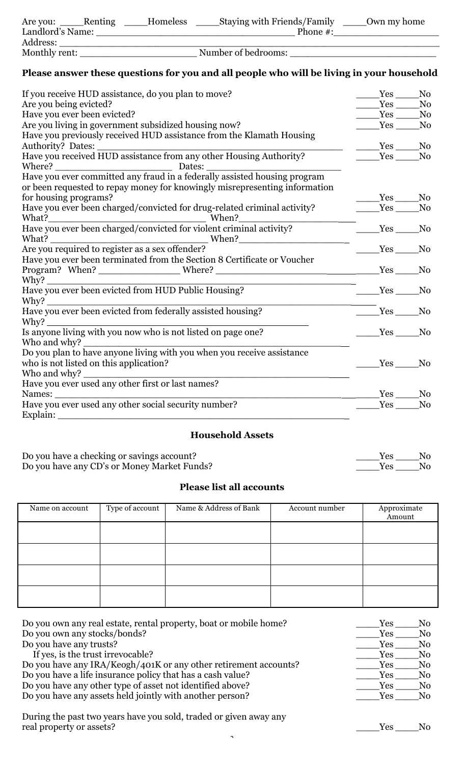| Are you:         | Renting | Homeless | <b>Staying with Friends/Family</b> |             | Own my home |
|------------------|---------|----------|------------------------------------|-------------|-------------|
| Landlord's Name: |         |          |                                    | Phone $#$ : |             |
| Address:         |         |          |                                    |             |             |
| Monthly rent:    |         |          | Number of bedrooms:                |             |             |

# **Please answer these questions for you and all people who will be living in your household**

| If you receive HUD assistance, do you plan to move?                               | Yes      | No             |
|-----------------------------------------------------------------------------------|----------|----------------|
| Are you being evicted?                                                            |          | No             |
| Have you ever been evicted?                                                       | Yes No   |                |
| Are you living in government subsidized housing now?                              | Yes No   |                |
| Have you previously received HUD assistance from the Klamath Housing              |          |                |
|                                                                                   | Yes No   |                |
| Have you received HUD assistance from any other Housing Authority?                |          | No             |
|                                                                                   |          |                |
|                                                                                   |          |                |
| or been requested to repay money for knowingly misrepresenting information        |          |                |
| for housing programs?                                                             | Yes No   |                |
| Have you ever been charged/convicted for drug-related criminal activity?          | $Yes$ No |                |
|                                                                                   |          |                |
| What?<br>Have you ever been charged/convicted for violent criminal activity?      | Yes No   |                |
|                                                                                   |          |                |
| What? When? When When Proposed to register as a sex offender?                     | Yes      | No             |
| Have you ever been terminated from the Section 8 Certificate or Voucher           |          |                |
| Program? When? _________________________Where? __________________________________ | $Yes$ No |                |
|                                                                                   |          |                |
|                                                                                   | Yes      | No             |
|                                                                                   |          |                |
| Have you ever been evicted from federally assisted housing?                       | Yes No   |                |
| Why?                                                                              |          |                |
| Is anyone living with you now who is not listed on page one?                      | $Yes$ No |                |
|                                                                                   |          |                |
| Notice and when to have anyone living with you when you receive assistance        |          |                |
| who is not listed on this application?                                            | Yes      | N <sub>0</sub> |
| Who and why?                                                                      |          |                |
| Have you ever used any other first or last names?                                 |          |                |
| Names:                                                                            | Yes No   |                |
| Have you ever used any other social security number?                              |          | No             |
| Explain:                                                                          |          |                |

# **Household Assets**

| Do you have a checking or savings account?  | Yes No |  |
|---------------------------------------------|--------|--|
| Do you have any CD's or Money Market Funds? | Yes No |  |

# **Please list all accounts**

| Name on account | Type of account | Name & Address of Bank | Account number | Approximate<br>Amount |
|-----------------|-----------------|------------------------|----------------|-----------------------|
|                 |                 |                        |                |                       |
|                 |                 |                        |                |                       |
|                 |                 |                        |                |                       |
|                 |                 |                        |                |                       |
|                 |                 |                        |                |                       |
|                 |                 |                        |                |                       |
|                 |                 |                        |                |                       |
|                 |                 |                        |                |                       |
|                 |                 |                        |                |                       |
|                 |                 |                        |                |                       |
|                 |                 |                        |                |                       |
|                 |                 |                        |                |                       |
|                 |                 |                        |                |                       |
|                 |                 |                        |                |                       |
|                 |                 |                        |                |                       |

| Do you own any real estate, rental property, boat or mobile home? | Yes        | No.            |
|-------------------------------------------------------------------|------------|----------------|
| Do you own any stocks/bonds?                                      | Yes        | $\rm No$       |
| Do you have any trusts?                                           | Yes        | No.            |
| If yes, is the trust irrevocable?                                 | Yes        | N <sub>0</sub> |
| Do you have any IRA/Keogh/401K or any other retirement accounts?  | <b>Yes</b> | No.            |
| Do you have a life insurance policy that has a cash value?        | <b>Yes</b> | N <sub>0</sub> |
| Do you have any other type of asset not identified above?         | Yes        | N <sub>o</sub> |
| Do you have any assets held jointly with another person?          | <b>Yes</b> | No.            |
| During the past two years have you sold, traded or given away any |            |                |

real property or assets? \_\_\_\_Yes \_\_\_\_No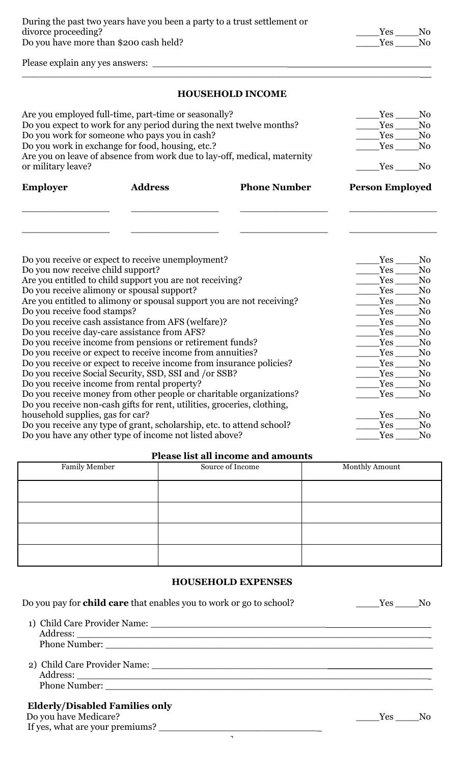Please explain any yes answers: \_\_\_\_\_\_\_\_\_\_\_\_\_\_\_\_\_\_\_\_\_\_\_

### **HOUSEHOLD INCOME**

 $\_$  , and the set of the set of the set of the set of the set of the set of the set of the set of the set of the set of the set of the set of the set of the set of the set of the set of the set of the set of the set of th

| Are you employed full-time, part-time or seasonally?<br>Do you expect to work for any period during the next twelve months?<br>Do you work for someone who pays you in cash?<br>Do you work in exchange for food, housing, etc.?<br>Are you on leave of absence from work due to lay-off, medical, maternity<br>or military leave? | Yes<br>Yes<br>Yes<br>Yes<br>Yes                                                                               | N <sub>0</sub><br>N <sub>0</sub><br>N <sub>0</sub><br>N <sub>0</sub><br>N <sub>0</sub> |                        |                                                    |
|------------------------------------------------------------------------------------------------------------------------------------------------------------------------------------------------------------------------------------------------------------------------------------------------------------------------------------|---------------------------------------------------------------------------------------------------------------|----------------------------------------------------------------------------------------|------------------------|----------------------------------------------------|
| <b>Employer</b>                                                                                                                                                                                                                                                                                                                    | <b>Address</b>                                                                                                | <b>Phone Number</b>                                                                    | <b>Person Employed</b> |                                                    |
| Do you now receive child support?                                                                                                                                                                                                                                                                                                  | Do you receive or expect to receive unemployment?<br>Are you entitled to child support you are not receiving? |                                                                                        | Yes<br>Yes<br>Yes      | N <sub>0</sub><br>N <sub>0</sub><br>N <sub>0</sub> |
|                                                                                                                                                                                                                                                                                                                                    | Do you receive alimony or spousal support?                                                                    |                                                                                        | Yes                    | N <sub>0</sub>                                     |
|                                                                                                                                                                                                                                                                                                                                    | Are you entitled to alimony or spousal support you are not receiving?                                         |                                                                                        | Yes                    | N <sub>0</sub>                                     |
| Do you receive food stamps?                                                                                                                                                                                                                                                                                                        |                                                                                                               |                                                                                        | Yes                    | N <sub>0</sub>                                     |
|                                                                                                                                                                                                                                                                                                                                    | Do you receive cash assistance from AFS (welfare)?                                                            |                                                                                        | Yes                    | N <sub>0</sub>                                     |
|                                                                                                                                                                                                                                                                                                                                    | Do you receive day-care assistance from AFS?                                                                  |                                                                                        | Yes                    | N <sub>0</sub>                                     |
|                                                                                                                                                                                                                                                                                                                                    | Do you receive income from pensions or retirement funds?                                                      |                                                                                        | Yes                    | N <sub>0</sub>                                     |
|                                                                                                                                                                                                                                                                                                                                    | Do you receive or expect to receive income from annuities?                                                    |                                                                                        | Yes                    | N <sub>0</sub>                                     |
|                                                                                                                                                                                                                                                                                                                                    | Do you receive or expect to receive income from insurance policies?                                           |                                                                                        | Yes                    | N <sub>0</sub>                                     |
|                                                                                                                                                                                                                                                                                                                                    | Do you receive Social Security, SSD, SSI and /or SSB?                                                         |                                                                                        | Yes                    | N <sub>0</sub>                                     |
| Do you receive income from rental property?                                                                                                                                                                                                                                                                                        | Yes                                                                                                           | N <sub>0</sub>                                                                         |                        |                                                    |
|                                                                                                                                                                                                                                                                                                                                    | Do you receive money from other people or charitable organizations?                                           |                                                                                        | Yes                    | N <sub>0</sub>                                     |
|                                                                                                                                                                                                                                                                                                                                    | Do you receive non-cash gifts for rent, utilities, groceries, clothing,                                       |                                                                                        |                        |                                                    |
| household supplies, gas for car?                                                                                                                                                                                                                                                                                                   |                                                                                                               |                                                                                        | Yes                    | N <sub>0</sub>                                     |
|                                                                                                                                                                                                                                                                                                                                    | Do you receive any type of grant, scholarship, etc. to attend school?                                         |                                                                                        | Yes                    | N <sub>0</sub>                                     |
| Do you have any other type of income not listed above?                                                                                                                                                                                                                                                                             | Yes                                                                                                           | N <sub>0</sub>                                                                         |                        |                                                    |

#### **Please list all income and amounts**

| $\frac{1}{2}$ |                  |                |  |  |
|---------------|------------------|----------------|--|--|
| Family Member | Source of Income | Monthly Amount |  |  |
|               |                  |                |  |  |
|               |                  |                |  |  |
|               |                  |                |  |  |
|               |                  |                |  |  |

#### **HOUSEHOLD EXPENSES**

| Do you pay for <b>child care</b> that enables you to work or go to school? | Yes No |  |
|----------------------------------------------------------------------------|--------|--|
|                                                                            |        |  |
|                                                                            |        |  |
|                                                                            |        |  |
|                                                                            |        |  |
|                                                                            |        |  |
|                                                                            |        |  |
| <b>Elderly/Disabled Families only</b>                                      |        |  |
| Do you have Medicare?                                                      | Yes No |  |
| If yes, what are your premiums?                                            |        |  |

 $\ddot{\phantom{1}}$